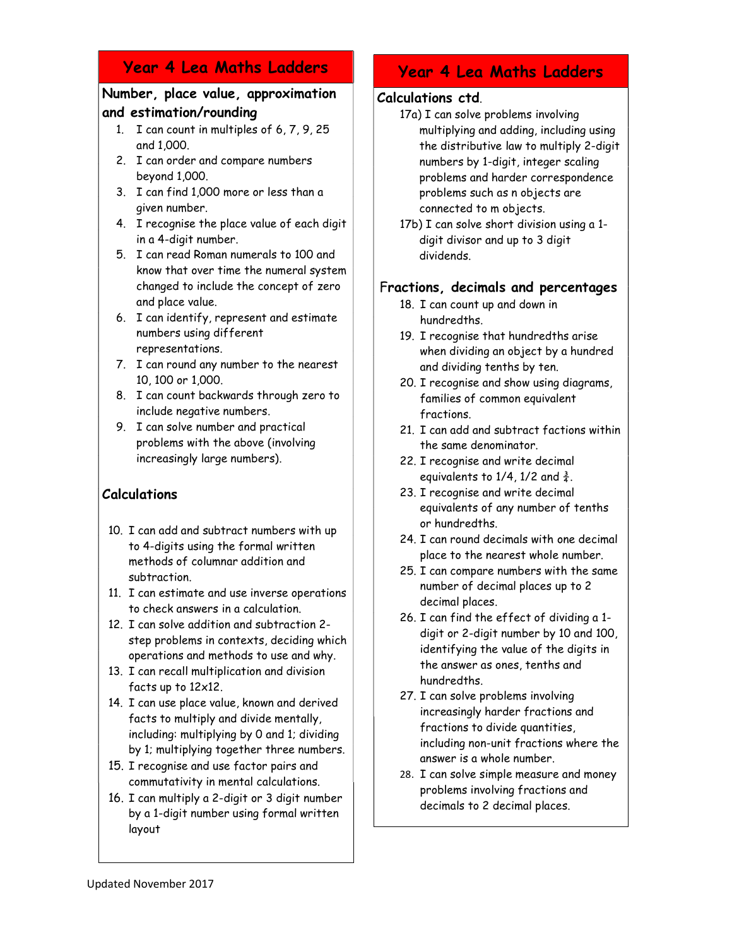# Year 4 Lea Maths Ladders

## Number, place value, approximation and estimation/rounding

- 1. I can count in multiples of 6, 7, 9, 25 and 1,000.
- 2. I can order and compare numbers beyond 1,000.
- 3. I can find 1,000 more or less than a given number.
- 4. I recognise the place value of each digit in a 4-digit number.
- 5. I can read Roman numerals to 100 and know that over time the numeral system changed to include the concept of zero and place value.
- 6. I can identify, represent and estimate numbers using different representations.
- 7. I can round any number to the nearest 10, 100 or 1,000.
- 8. I can count backwards through zero to include negative numbers.
- 9. I can solve number and practical problems with the above (involving increasingly large numbers).

# Calculations

- 10. I can add and subtract numbers with up to 4-digits using the formal written methods of columnar addition and subtraction.
- 11. I can estimate and use inverse operations to check answers in a calculation.
- 12. I can solve addition and subtraction 2 step problems in contexts, deciding which operations and methods to use and why.
- 13. I can recall multiplication and division facts up to 12x12.
- 14. I can use place value, known and derived facts to multiply and divide mentally, including: multiplying by 0 and 1; dividing by 1; multiplying together three numbers.
- 15. I recognise and use factor pairs and commutativity in mental calculations.
- 16. I can multiply a 2-digit or 3 digit number by a 1-digit number using formal written layout

# Year 4 Lea Maths Ladders

## Calculations ctd.

- 17a) I can solve problems involving multiplying and adding, including using the distributive law to multiply 2-digit numbers by 1-digit, integer scaling problems and harder correspondence problems such as n objects are connected to m objects.
- 17b) I can solve short division using a 1 digit divisor and up to 3 digit dividends.

## Fractions, decimals and percentages

- 18. I can count up and down in hundredths.
- 19. I recognise that hundredths arise when dividing an object by a hundred and dividing tenths by ten.
- 20. I recognise and show using diagrams, families of common equivalent fractions.
- 21. I can add and subtract factions within the same denominator.
- 22. I recognise and write decimal equivalents to  $1/4$ ,  $1/2$  and  $\frac{3}{4}$ .
- 23. I recognise and write decimal equivalents of any number of tenths or hundredths.
- 24. I can round decimals with one decimal place to the nearest whole number.
- 25. I can compare numbers with the same number of decimal places up to 2 decimal places.
- 26. I can find the effect of dividing a 1 digit or 2-digit number by 10 and 100, identifying the value of the digits in the answer as ones, tenths and hundredths.
- 27. I can solve problems involving increasingly harder fractions and fractions to divide quantities, including non-unit fractions where the answer is a whole number.
- 28. I can solve simple measure and money problems involving fractions and decimals to 2 decimal places.